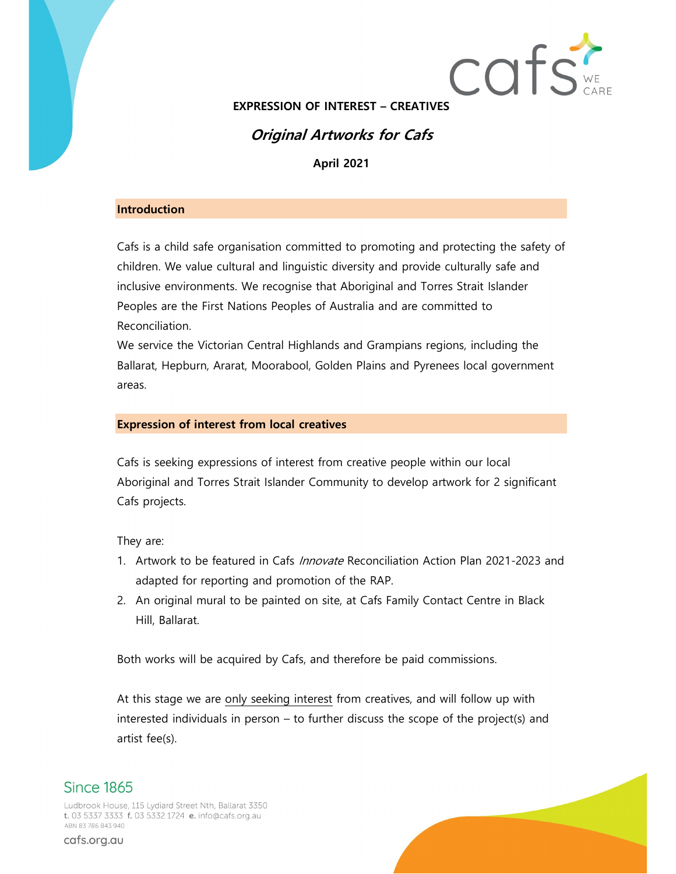

EXPRESSION OF INTEREST – CREATIVES

## Original Artworks for Cafs

April 2021

#### **Introduction**

Cafs is a child safe organisation committed to promoting and protecting the safety of children. We value cultural and linguistic diversity and provide culturally safe and inclusive environments. We recognise that Aboriginal and Torres Strait Islander Peoples are the First Nations Peoples of Australia and are committed to Reconciliation.

We service the Victorian Central Highlands and Grampians regions, including the Ballarat, Hepburn, Ararat, Moorabool, Golden Plains and Pyrenees local government areas.

#### Expression of interest from local creatives

Cafs is seeking expressions of interest from creative people within our local Aboriginal and Torres Strait Islander Community to develop artwork for 2 significant Cafs projects.

They are:

- 1. Artwork to be featured in Cafs *Innovate* Reconciliation Action Plan 2021-2023 and adapted for reporting and promotion of the RAP.
- 2. An original mural to be painted on site, at Cafs Family Contact Centre in Black Hill, Ballarat.

Both works will be acquired by Cafs, and therefore be paid commissions.

At this stage we are only seeking interest from creatives, and will follow up with interested individuals in person – to further discuss the scope of the project(s) and artist fee(s).

# **Since 1865**

Ludbrook House, 115 Lydiard Street Nth, Ballarat 3350 t. 03 5337 3333 f. 03 5332 1724 e. info@cafs.org.au ABN 83786843940

cafs.org.au